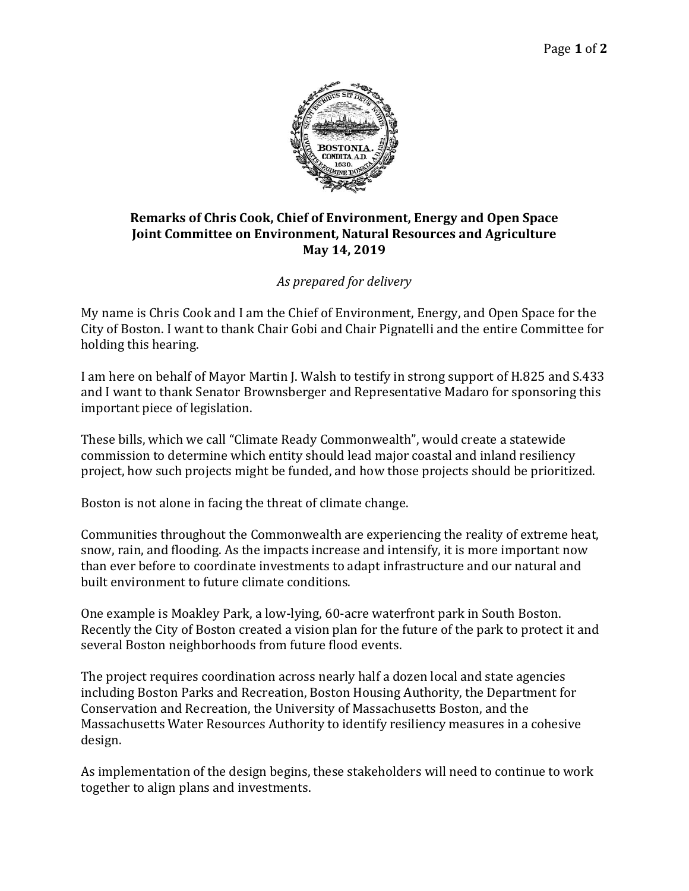

## **Remarks of Chris Cook, Chief of Environment, Energy and Open Space Joint Committee on Environment, Natural Resources and Agriculture May 14, 2019**

## *As prepared for delivery*

My name is Chris Cook and I am the Chief of Environment, Energy, and Open Space for the City of Boston. I want to thank Chair Gobi and Chair Pignatelli and the entire Committee for holding this hearing.

I am here on behalf of Mayor Martin J. Walsh to testify in strong support of H.825 and S.433 and I want to thank Senator Brownsberger and Representative Madaro for sponsoring this important piece of legislation.

These bills, which we call "Climate Ready Commonwealth", would create a statewide commission to determine which entity should lead major coastal and inland resiliency project, how such projects might be funded, and how those projects should be prioritized.

Boston is not alone in facing the threat of climate change.

Communities throughout the Commonwealth are experiencing the reality of extreme heat, snow, rain, and flooding. As the impacts increase and intensify, it is more important now than ever before to coordinate investments to adapt infrastructure and our natural and built environment to future climate conditions.

One example is Moakley Park, a low-lying, 60-acre waterfront park in South Boston. Recently the City of Boston created a vision plan for the future of the park to protect it and several Boston neighborhoods from future flood events.

The project requires coordination across nearly half a dozen local and state agencies including Boston Parks and Recreation, Boston Housing Authority, the Department for Conservation and Recreation, the University of Massachusetts Boston, and the Massachusetts Water Resources Authority to identify resiliency measures in a cohesive design.

As implementation of the design begins, these stakeholders will need to continue to work together to align plans and investments.